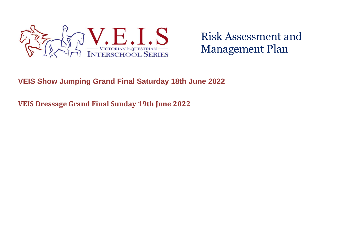

# **VEIS Show Jumping Grand Final Saturday 18th June 2022**

**VEIS Dressage Grand Final Sunday 19th June 2022**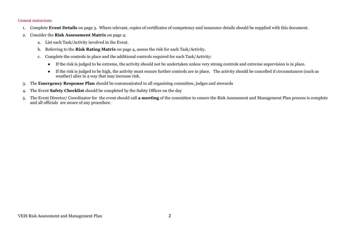#### General instructions

- 1. Complete **Event Details** on page 3. Where relevant, copies of certificates of competency and insurance details should be supplied with this document.
- 2. Consider the **Risk Assessment Matrix** on page 4:
	- a. List each Task/Activity involved in the Event.
	- b. Referring to the **Risk Rating Matrix** on page 4, assess the risk for each Task/Activity.
	- c. Complete the controls in place and the additional controls required for each Task/Activity:
		- If the risk is judged to be extreme, the activity should not be undertaken unless very strong controls and extreme supervision is in place.
		- If the risk is judged to be high, the activity must ensure further controls are in place. The activity should be cancelled if circumstances (such as weather) alter in a way that may increase risk.
- 3. The **Emergency Response Plan** should be communicated to all organising committee, judges and stewards
- 4. The Event **Safety Checklist** should be completed by the Safety Officer on the day
- 5. The Event Director/ Coordinator for the event should call **a meeting** of the committee to ensure the Risk Assessment and Management Plan process is complete and all officials are aware of any procedure.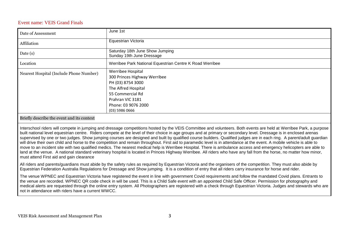### Event name: VEIS Grand Finals

| Date of Assessment                      | June 1st                                                                                                                                                                         |
|-----------------------------------------|----------------------------------------------------------------------------------------------------------------------------------------------------------------------------------|
| Affiliation                             | Equestrian Victoria                                                                                                                                                              |
| Date $(s)$                              | Saturday 18th June Show Jumping<br>Sunday 19th June Dressage                                                                                                                     |
| Location                                | Werribee Park National Equestrian Centre K Road Werribee                                                                                                                         |
| Nearest Hospital (Include Phone Number) | Werribee Hospital<br>300 Princes Highway Werribee<br>PH (03) 8754 3000<br>The Alfred Hospital<br>55 Commercial Rd<br>Prahran VIC 3181<br>Phone: 03 9076 2000<br>$(03)$ 5986 0666 |

#### Briefly describe the event and its context

Interschool riders will compete in jumping and dressage competitions hosted by the VEIS Committee and volunteers. Both events are held at Werribee Park, a purpose built national level equestrian centre. Riders compete at the level of their choice in age groups and at primary or secondary level. Dressage is in enclosed arenas supervised by one or two judges. Show jumping courses are designed and built by qualified course builders. Qualified judges are in each ring. A parent/adult guardian will drive their own child and horse to the competition and remain throughout. First aid to paramedic level is in attendance at the event. A mobile vehicle is able to move to an incident site with two qualified medics. The nearest medical help is Werribee Hospital. There is ambulance access and emergency helicopters are able to land at the venue. A national standard veterinary hospital is located in Princes Highway Werribee. All riders who have any fall from the horse, no matter how minor, must attend First aid and gain clearance

All riders and parents/guardians must abide by the safety rules as required by Equestrian Victoria and the organisers of the competition. They must also abide by Equestrian Federation Australia Regulations for Dressage and Show jumping. It is a condition of entry that all riders carry insurance for horse and rider.

The venue WPNEC and Equestrian Victoria have registered the event in line with government Covid requirements and follow the mandated Covid plans. Entrants to the venue are recorded. WPNEC QR code check in will be used. This is a Child Safe event with an appointed Child Safe Officer. Permission for photography and medical alerts are requested through the online entry system. All Photographers are registered with a check through Equestrian Victoria. Judges and stewards who are not in attendance with riders have a current WWCC.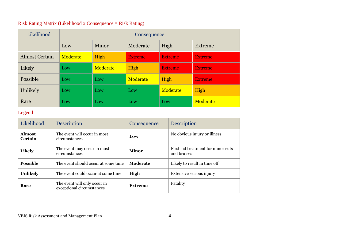# Risk Rating Matrix (Likelihood x Consequence = Risk Rating)

| Likelihood            | Consequence |          |                |                |                |  |  |  |  |
|-----------------------|-------------|----------|----------------|----------------|----------------|--|--|--|--|
|                       | Low         | Minor    | Moderate       | High           | Extreme        |  |  |  |  |
| <b>Almost Certain</b> | Moderate    | High     | <b>Extreme</b> | <b>Extreme</b> | <b>Extreme</b> |  |  |  |  |
| Likely                | Low         | Moderate | High           | <b>Extreme</b> | <b>Extreme</b> |  |  |  |  |
| Possible              | Low         | Low      | Moderate       | High           | <b>Extreme</b> |  |  |  |  |
| Unlikely              | Low         | Low      | Low            | Moderate       | High           |  |  |  |  |
| Rare                  | Low         | Low      | Low            | Low            | Moderate       |  |  |  |  |

### Legend

| Likelihood               | <b>Description</b>                                        | Consequence    | <b>Description</b>                                |
|--------------------------|-----------------------------------------------------------|----------------|---------------------------------------------------|
| <b>Almost</b><br>Certain | The event will occur in most<br>circumstances             | Low            | No obvious injury or illness                      |
| Likely                   | The event may occur in most<br>circumstances              | Minor          | First aid treatment for minor cuts<br>and bruises |
| <b>Possible</b>          | The event should occur at some time                       | Moderate       | Likely to result in time off                      |
| <b>Unlikely</b>          | The event could occur at some time                        | High           | Extensive serious injury                          |
| Rare                     | The event will only occur in<br>exceptional circumstances | <b>Extreme</b> | Fatality                                          |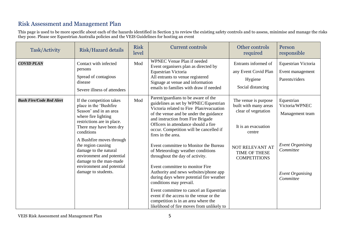This page is used to be more specific about each of the hazards identified in Section 3 to review the existing safety controls and to assess, minimise and manage the risks they pose. Please see Equestrian Australia policies and the VEIS Guidelines for hosting an event

| Task/Activity                   | <b>Risk/Hazard details</b>                                                                                                                                                                                                                                                                                                                | <b>Risk</b><br>level | <b>Current controls</b>                                                                                                                                                                                                                                                                                                                                                                                                                                              | Other controls<br>required                                                                                                                                       | Person<br>responsible                                                                   |
|---------------------------------|-------------------------------------------------------------------------------------------------------------------------------------------------------------------------------------------------------------------------------------------------------------------------------------------------------------------------------------------|----------------------|----------------------------------------------------------------------------------------------------------------------------------------------------------------------------------------------------------------------------------------------------------------------------------------------------------------------------------------------------------------------------------------------------------------------------------------------------------------------|------------------------------------------------------------------------------------------------------------------------------------------------------------------|-----------------------------------------------------------------------------------------|
| <b>COVID PLAN</b>               | Contact with infected<br>persons<br>Spread of contagious<br>disease<br>Severe illness of attendees                                                                                                                                                                                                                                        | Mod                  | WPNEC Venue Plan if needed<br>Event organisers plan as directed by<br>Equestrian Victoria<br>All entrants to venue registered<br>Signage at venue and information<br>emails to families with draw if needed                                                                                                                                                                                                                                                          | Entrants informed of<br>any Event Covid Plan<br>Hygiene<br>Social distancing                                                                                     | Equestrian Victoria<br>Event management<br>Parents/riders                               |
| <b>Bush Fire/Code Red Alert</b> | If the competition takes<br>place in the 'Bushfire<br>Season' and in an area<br>where fire lighting<br>restrictions are in place.<br>There may have been dry<br>conditions<br>A Bushfire moves through<br>the region causing<br>damage to the natural<br>environment and potential<br>damage to the man-made<br>environment and potential | Mod                  | Parent/guardians to be aware of the<br>guidelines as set by WPNEC/Equestrian<br>Victoria related to Fire Plan/evacuation<br>of the venue and be under the guidance<br>and instruction from Fire Brigade<br>Officers in attendance should a fire<br>occur. Competition will be cancelled if<br>fires in the area.<br>Event committee to Monitor the Bureau<br>of Meteorology weather conditions<br>throughout the day of activity.<br>Event committee to monitor Fire | The venue is purpose<br>built with many areas<br>clear of vegetation<br>It is an evacuation<br>centre<br>NOT RELEVANT AT<br>TIME OF THESE<br><b>COMPETITIONS</b> | Equestrian<br>Victoria/WPNEC<br>Management team<br><b>Event Organising</b><br>Committee |
|                                 | damage to students.                                                                                                                                                                                                                                                                                                                       |                      | Authority and news websites/phone app<br>during days where potential fire weather<br>conditions may prevail.<br>Event committee to cancel an Equestrian<br>event if the access to the venue or the<br>competition is in an area where the<br>likelihood of fire moves from unlikely to                                                                                                                                                                               |                                                                                                                                                                  | <b>Event Organising</b><br>Committee                                                    |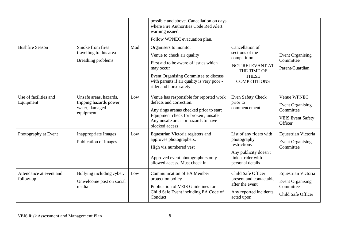|                                      |                                                                                  |     | possible and above. Cancellation on days<br>where Fire Authorities Code Red Alert<br>warning issued.<br>Follow WPNEC evacuation plan.                                                                                      |                                                                                                                            |                                                                                            |
|--------------------------------------|----------------------------------------------------------------------------------|-----|----------------------------------------------------------------------------------------------------------------------------------------------------------------------------------------------------------------------------|----------------------------------------------------------------------------------------------------------------------------|--------------------------------------------------------------------------------------------|
| <b>Bushfire Season</b>               | Smoke from fires<br>travelling to this area<br>Breathing problems                | Mod | Organisers to monitor<br>Venue to check air quality<br>First aid to be aware of issues which<br>may occur<br>Event Organising Committee to discuss<br>with parents if air quality is very poor -<br>rider and horse safety | Cancellation of<br>sections of the<br>competition<br>NOT RELEVANT AT<br>THE TIME OF<br><b>THESE</b><br><b>COMPETITIONS</b> | <b>Event Organising</b><br>Committee<br>Parent/Guardian                                    |
| Use of facilities and<br>Equipment   | Unsafe areas, hazards,<br>tripping hazards power,<br>water, damaged<br>equipment | Low | Venue has responsible for reported work<br>defects and correction.<br>Any rings arenas checked prior to start<br>Equipment check for broken, unsafe<br>Any unsafe areas or hazards to have<br>blocked access               | Even Safety Check<br>prior to<br>commencement                                                                              | Venue WPNEC<br><b>Event Organising</b><br>Committee<br><b>VEIS Event Safety</b><br>Officer |
| Photography at Event                 | <b>Inappropriate Images</b><br>Publication of images                             | Low | Equestrian Victoria registers and<br>approves photographers.<br>High viz numbered vest<br>Approved event photographers only<br>allowed access. Must check in.                                                              | List of any riders with<br>photography<br>restrictions<br>Any publicity doesn't<br>link a rider with<br>personal details   | Equestrian Victoria<br><b>Event Organising</b><br>Committee                                |
| Attendance at event and<br>follow-up | Bullying including cyber.<br>Unwelcome post on social<br>media                   | Low | <b>Communication of EA Member</b><br>protection policy<br>Publication of VEIS Guidelines for<br>Child Safe Event including EA Code of<br>Conduct                                                                           | Child Safe Officer<br>present and contactable<br>after the event<br>Any reported incidents<br>acted upon                   | Equestrian Victoria<br><b>Event Organising</b><br>Committee<br>Child Safe Officer          |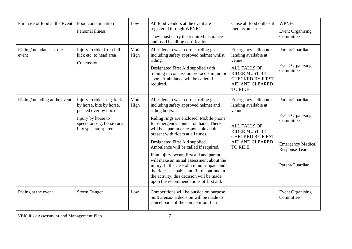| Purchase of food at the Event     | Food contamination<br>Personal illness                                                                                                                     | Low          | All food vendors at the event are<br>registered through WPNEC.                                                                                                                                                                                                                                                                                                                                                                                                                                                                                                                                                         | Close all food outlets if<br>there is an issue                                                                                                                              | <b>WPNEC</b><br><b>Event Organising</b>                                                                                        |
|-----------------------------------|------------------------------------------------------------------------------------------------------------------------------------------------------------|--------------|------------------------------------------------------------------------------------------------------------------------------------------------------------------------------------------------------------------------------------------------------------------------------------------------------------------------------------------------------------------------------------------------------------------------------------------------------------------------------------------------------------------------------------------------------------------------------------------------------------------------|-----------------------------------------------------------------------------------------------------------------------------------------------------------------------------|--------------------------------------------------------------------------------------------------------------------------------|
|                                   |                                                                                                                                                            |              | They must carry the required insurance<br>and food handling certification                                                                                                                                                                                                                                                                                                                                                                                                                                                                                                                                              |                                                                                                                                                                             | Committee                                                                                                                      |
| Riding/attendance at the<br>event | Injury to rider from fall,<br>kick etc. to head area<br>Concussion                                                                                         | Mod-<br>High | All riders to wear correct riding gear<br>including safety approved helmet whilst<br>riding.<br>Designated First Aid supplied with<br>training in concussion protocols in junior<br>sport. Ambulance will be called if<br>required.                                                                                                                                                                                                                                                                                                                                                                                    | Emergency helicopter<br>landing available at<br>venue<br><b>ALL FALLS OF</b><br><b>RIDER MUST BE</b><br><b>CHECKED BY FIRST</b><br><b>AID AND CLEARED</b><br><b>TO RIDE</b> | Parent/Guardian<br><b>Event Organising</b><br>Committee                                                                        |
| Riding/attending at the event     | Injury to rider -e.g. kick<br>by horse, bite by horse,<br>pushed over by horse<br>Injury by horse to<br>spectator-e.g. horse runs<br>into spectator/parent | Mod-<br>High | All riders to wear correct riding gear<br>including safety approved helmet and<br>riding boots.<br>Riding rings are enclosed. Mobile phone<br>for emergency contact on hand. There<br>will be a parent or responsible adult<br>present with riders at all times.<br>Designated First Aid supplied.<br>Ambulance will be called if required.<br>If an injury occurs first aid and parent<br>will make an initial assessment about the<br>injury. In the case of a minor impact and<br>the rider is capable and fit to continue in<br>the activity, this decision will be made<br>upon the recommendations of first aid. | Emergency helicopter<br>landing available at<br>venue<br><b>ALL FALLS OF</b><br><b>RIDER MUST BE</b><br><b>CHECKED BY FIRST</b><br><b>AID AND CLEARED</b><br><b>TO RIDE</b> | Parent/Guardian<br><b>Event Organising</b><br>Committee<br><b>Emergency Medical</b><br><b>Response Team</b><br>Parent/Guardian |
| Riding at the event               | <b>Storm Danger</b>                                                                                                                                        | Low          | Competitions will be outside on purpose<br>built arenas- a decision will be made to<br>cancel parts of the competition if an                                                                                                                                                                                                                                                                                                                                                                                                                                                                                           |                                                                                                                                                                             | <b>Event Organising</b><br>Committee                                                                                           |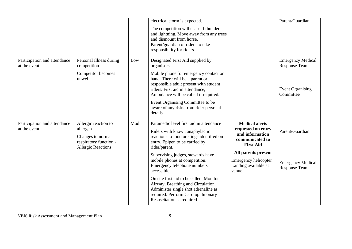|                                              |                                                                                                              |     | electrical storm is expected.                                                                                                                                                                                                                                                                                                                                                                                                                                                             |                                                                                                                                                                                       | Parent/Guardian                                                                          |
|----------------------------------------------|--------------------------------------------------------------------------------------------------------------|-----|-------------------------------------------------------------------------------------------------------------------------------------------------------------------------------------------------------------------------------------------------------------------------------------------------------------------------------------------------------------------------------------------------------------------------------------------------------------------------------------------|---------------------------------------------------------------------------------------------------------------------------------------------------------------------------------------|------------------------------------------------------------------------------------------|
|                                              |                                                                                                              |     | The competition will cease if thunder<br>and lightning. Move away from any trees<br>and dismount from horse.<br>Parent/guardian of riders to take<br>responsibility for riders.                                                                                                                                                                                                                                                                                                           |                                                                                                                                                                                       |                                                                                          |
| Participation and attendance<br>at the event | Personal Illness during<br>competition.<br>Competitor becomes<br>unwell.                                     | Low | Designated First Aid supplied by<br>organisers.<br>Mobile phone for emergency contact on<br>hand. There will be a parent or<br>responsible adult present with student<br>riders. First aid in attendance,<br>Ambulance will be called if required.<br>Event Organising Committee to be<br>aware of any risks from rider personal<br>details                                                                                                                                               |                                                                                                                                                                                       | <b>Emergency Medical</b><br><b>Response Team</b><br><b>Event Organising</b><br>Committee |
| Participation and attendance<br>at the event | Allergic reaction to<br>allergen<br>Changes to normal<br>respiratory function -<br><b>Allergic Reactions</b> | Mod | Paramedic level first aid in attendance<br>Riders with known anaphylactic<br>reactions to food or stings identified on<br>entry. Epipen to be carried by<br>rider/parent.<br>Supervising judges, stewards have<br>mobile phones at competition.<br>Emergency telephone numbers<br>accessible.<br>On site first aid to be called. Monitor<br>Airway, Breathing and Circulation.<br>Administer single shot adrenaline as<br>required. Perform Cardiopulmonary<br>Resuscitation as required. | <b>Medical alerts</b><br>requested on entry<br>and information<br>communicated to<br><b>First Aid</b><br>All parents present<br>Emergency helicopter<br>Landing available at<br>venue | Parent/Guardian<br><b>Emergency Medical</b><br><b>Response Team</b>                      |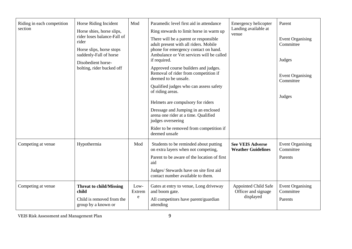| Riding in each competition<br>section | Horse Riding Incident<br>Horse shies, horse slips,<br>rider loses balance-Fall of<br>rider<br>Horse slips, horse stops<br>suddenly-Fall of horse<br>Disobedient horse-<br>bolting, rider bucked off | Mod                             | Paramedic level first aid in attendance<br>Ring stewards to limit horse in warm up<br>There will be a parent or responsible<br>adult present with all riders. Mobile<br>phone for emergency contact on hand.<br>Ambulance or Vet services will be called<br>if required.<br>Approved course builders and judges.<br>Removal of rider from competition if<br>deemed to be unsafe.<br>Qualified judges who can assess safety<br>of riding areas.<br>Helmets are compulsory for riders<br>Dressage and Jumping in an enclosed<br>arena one rider at a time. Qualified<br>judges overseeing<br>Rider to be removed from competition if<br>deemed unsafe | Emergency helicopter<br>Landing available at<br>venue           | Parent<br><b>Event Organising</b><br>Committee<br>Judges<br><b>Event Organising</b><br>Committee<br>Judges |
|---------------------------------------|-----------------------------------------------------------------------------------------------------------------------------------------------------------------------------------------------------|---------------------------------|-----------------------------------------------------------------------------------------------------------------------------------------------------------------------------------------------------------------------------------------------------------------------------------------------------------------------------------------------------------------------------------------------------------------------------------------------------------------------------------------------------------------------------------------------------------------------------------------------------------------------------------------------------|-----------------------------------------------------------------|------------------------------------------------------------------------------------------------------------|
| Competing at venue                    | Hypothermia                                                                                                                                                                                         | Mod                             | Students to be reminded about putting<br>on extra layers when not competing,<br>Parent to be aware of the location of first<br>aid<br>Judges/ Stewards have on site first aid<br>contact number available to them.                                                                                                                                                                                                                                                                                                                                                                                                                                  | <b>See VEIS Adverse</b><br><b>Weather Guidelines</b>            | <b>Event Organising</b><br>Committee<br>Parents                                                            |
| Competing at venue                    | <b>Threat to child/Missing</b><br>child<br>Child is removed from the<br>group by a known or                                                                                                         | $Low-$<br>Extrem<br>$\mathbf e$ | Gates at entry to venue, Long driveway<br>and boom gate.<br>All competitors have parent/guardian<br>attending                                                                                                                                                                                                                                                                                                                                                                                                                                                                                                                                       | <b>Appointed Child Safe</b><br>Officer and signage<br>displayed | <b>Event Organising</b><br>Committee<br>Parents                                                            |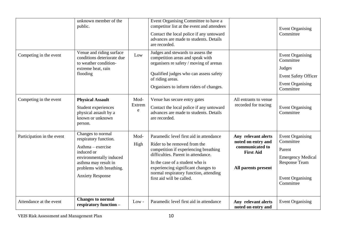|                            | unknown member of the<br>public.                                                                                                                                                           |                     | Event Organising Committee to have a<br>competitor list at the event and attendees<br>Contact the local police if any untoward<br>advances are made to students. Details<br>are recorded.                                                                                                                |                                                                                                         | <b>Event Organising</b><br>Committee                                                                                                       |
|----------------------------|--------------------------------------------------------------------------------------------------------------------------------------------------------------------------------------------|---------------------|----------------------------------------------------------------------------------------------------------------------------------------------------------------------------------------------------------------------------------------------------------------------------------------------------------|---------------------------------------------------------------------------------------------------------|--------------------------------------------------------------------------------------------------------------------------------------------|
| Competing in the event     | Venue and riding surface<br>conditions deteriorate due<br>to weather condition-<br>extreme heat, rain<br>flooding                                                                          | Low                 | Judges and stewards to assess the<br>competition areas and speak with<br>organisers re safety / moving of arenas<br>Qualified judges who can assess safety<br>of riding areas.<br>Organisers to inform riders of changes.                                                                                |                                                                                                         | <b>Event Organising</b><br>Committee<br>Judges<br><b>Event Safety Officer</b><br><b>Event Organising</b><br>Committee                      |
| Competing in the event     | <b>Physical Assault</b><br>Student experiences<br>physical assault by a<br>known or unknown<br>person.                                                                                     | Mod-<br>Extrem<br>e | Venue has secure entry gates<br>Contact the local police if any untoward<br>advances are made to students. Details<br>are recorded.                                                                                                                                                                      | All entrants to venue<br>recorded for tracing                                                           | <b>Event Organising</b><br>Committee                                                                                                       |
| Participation in the event | Changes to normal<br>respiratory function.<br>$A$ sthma – exercise<br>induced or<br>environmentally induced<br>asthma may result in<br>problems with breathing.<br><b>Anxiety Response</b> | Mod-<br>High        | Paramedic level first aid in attendance<br>Rider to be removed from the<br>competition if experiencing breathing<br>difficulties. Parent in attendance.<br>In the case of a student who is<br>experiencing significant changes to<br>normal respiratory function, attending<br>first aid will be called. | Any relevant alerts<br>noted on entry and<br>communicated to<br><b>First Aid</b><br>All parents present | <b>Event Organising</b><br>Committee<br>Parent<br><b>Emergency Medical</b><br><b>Response Team</b><br><b>Event Organising</b><br>Committee |
| Attendance at the event    | <b>Changes to normal</b><br>respiratory function -                                                                                                                                         | $Low -$             | Paramedic level first aid in attendance                                                                                                                                                                                                                                                                  | Any relevant alerts<br>noted on entry and                                                               | <b>Event Organising</b>                                                                                                                    |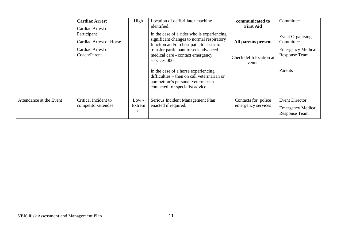|                         | <b>Cardiac Arrest</b><br>Cardiac Arrest of<br>Participant<br>Cardiac Arrest of Horse<br>Cardiac Arrest of<br>Coach/Parent | High                   | Location of defibrillator machine<br>identified.<br>In the case of a rider who is experiencing<br>significant changes to normal respiratory<br>function and/or chest pain, to assist to<br>transfer participant to seek advanced<br>medical care - contact emergency<br>services 000.<br>In the case of a horse experiencing | communicated to<br><b>First Aid</b><br>All parents present<br>Check defib location at<br>venue | Committee<br><b>Event Organising</b><br>Committee<br><b>Emergency Medical</b><br>Response Team<br>Parents |
|-------------------------|---------------------------------------------------------------------------------------------------------------------------|------------------------|------------------------------------------------------------------------------------------------------------------------------------------------------------------------------------------------------------------------------------------------------------------------------------------------------------------------------|------------------------------------------------------------------------------------------------|-----------------------------------------------------------------------------------------------------------|
|                         |                                                                                                                           |                        | difficulties – then on call veterinarian or<br>competitor's personal veterinarian<br>contacted for specialist advice.                                                                                                                                                                                                        |                                                                                                |                                                                                                           |
| Attendance at the Event | Critical Incident to<br>competitor/attendee                                                                               | $Low -$<br>Extrem<br>e | Serious Incident Management Plan<br>enacted if required.                                                                                                                                                                                                                                                                     | Contacts for police<br>emergency services                                                      | <b>Event Director</b><br><b>Emergency Medical</b><br><b>Response Team</b>                                 |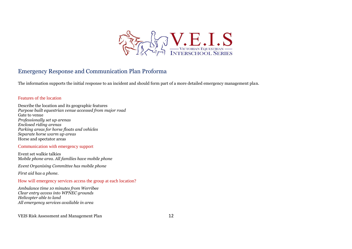

### Emergency Response and Communication Plan Proforma

The information supports the initial response to an incident and should form part of a more detailed emergency management plan.

### Features of the location

Describe the location and its geographic features *Purpose built equestrian venue accessed from major road* Gate to venue *Professionally set up arenas Enclosed riding arenas Parking areas for horse floats and vehicles Separate horse warm up areas* Horse and spectator areas

#### Communication with emergency support

Event set walkie talkies M*obile phone area. All families have mobile phone*

*Event Organising Committee has mobile phone*

*First aid has a phone.*

How will emergency services access the group at each location?

*Ambulance time 10 minutes from Werribee Clear entry access into WPNEC grounds Helicopter able to land All emergency services available in area*